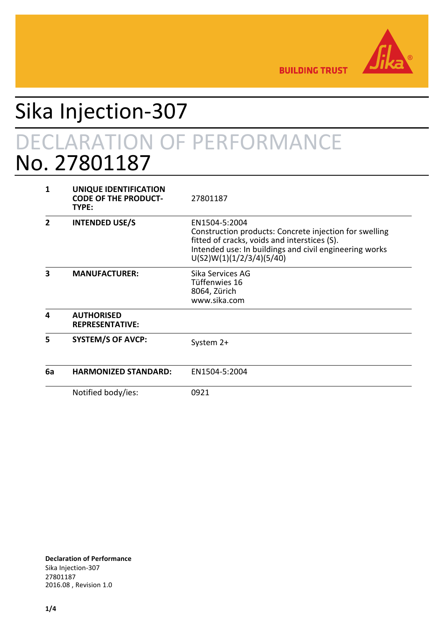

**BUILDING TRUST** 

# Sika Injection-307 DECLARATION OF PERFORMANCE No. 27801187

| 1  | UNIQUE IDENTIFICATION<br><b>CODE OF THE PRODUCT-</b><br>TYPE: | 27801187                                                                                                                                                                                                      |
|----|---------------------------------------------------------------|---------------------------------------------------------------------------------------------------------------------------------------------------------------------------------------------------------------|
| 2  | <b>INTENDED USE/S</b>                                         | EN1504-5:2004<br>Construction products: Concrete injection for swelling<br>fitted of cracks, voids and interstices (S).<br>Intended use: In buildings and civil engineering works<br>U(S2)W(1)(1/2/3/4)(5/40) |
| 3  | <b>MANUFACTURER:</b>                                          | Sika Services AG<br>Tüffenwies 16<br>8064, Zürich<br>www.sika.com                                                                                                                                             |
| 4  | <b>AUTHORISED</b><br><b>REPRESENTATIVE:</b>                   |                                                                                                                                                                                                               |
| 5  | <b>SYSTEM/S OF AVCP:</b>                                      | System 2+                                                                                                                                                                                                     |
| 6a | <b>HARMONIZED STANDARD:</b>                                   | EN1504-5:2004                                                                                                                                                                                                 |
|    | Notified body/ies:                                            | 0921                                                                                                                                                                                                          |

**Declaration of Performance** Sika Injection-307 27801187 2016.08 , Revision 1.0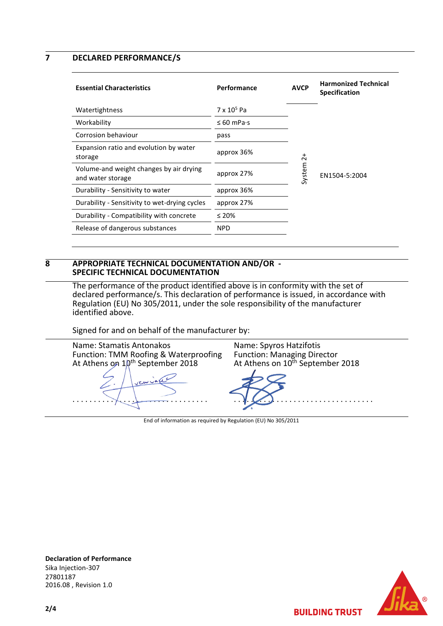### **7 DECLARED PERFORMANCE/S**

| Performance             | <b>AVCP</b> | <b>Harmonized Technical</b><br><b>Specification</b> |
|-------------------------|-------------|-----------------------------------------------------|
| $7 \times 10^5$ Pa      |             |                                                     |
| $\leq 60$ mPa $\cdot$ s |             |                                                     |
| pass                    |             |                                                     |
| approx 36%              | $\sim$      |                                                     |
| approx 27%              |             | EN1504-5:2004                                       |
| approx 36%              |             |                                                     |
| approx 27%              |             |                                                     |
| $\leq 20\%$             |             |                                                     |
| <b>NPD</b>              |             |                                                     |
|                         |             | System                                              |

#### **8 APPROPRIATE TECHNICAL DOCUMENTATION AND/OR - SPECIFIC TECHNICAL DOCUMENTATION**

The performance of the product identified above is in conformity with the set of declared performance/s. This declaration of performance is issued, in accordance with Regulation (EU) No 305/2011, under the sole responsibility of the manufacturer identified above.

Signed for and on behalf of the manufacturer by:

| Name: Stamatis Antonakos                     | Name: Spyros Hatzifotis                      |
|----------------------------------------------|----------------------------------------------|
| Function: TMM Roofing & Waterproofing        | <b>Function: Managing Director</b>           |
| At Athens on 10 <sup>th</sup> September 2018 | At Athens on 10 <sup>th</sup> September 2018 |
| I you vale                                   |                                              |

End of information as required by Regulation (EU) No 305/2011



**BUILDING TRUST** 

**Declaration of Performance** Sika Injection-307 27801187 2016.08 , Revision 1.0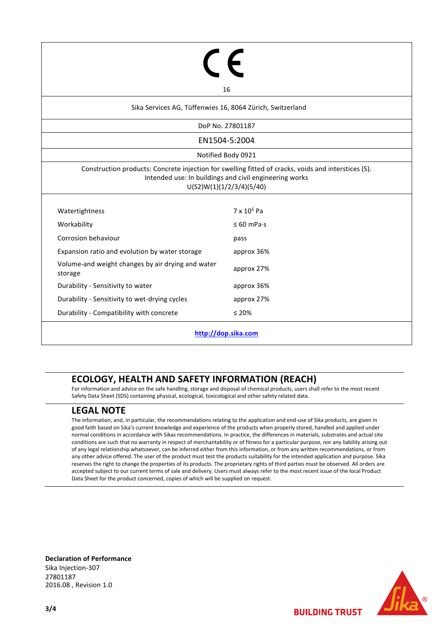| 16                                                                                                                                                                                        |                         |  |  |  |  |
|-------------------------------------------------------------------------------------------------------------------------------------------------------------------------------------------|-------------------------|--|--|--|--|
|                                                                                                                                                                                           |                         |  |  |  |  |
| Sika Services AG, Tüffenwies 16, 8064 Zürich, Switzerland                                                                                                                                 |                         |  |  |  |  |
| DoP No. 27801187                                                                                                                                                                          |                         |  |  |  |  |
| EN1504-5:2004                                                                                                                                                                             |                         |  |  |  |  |
| Notified Body 0921                                                                                                                                                                        |                         |  |  |  |  |
| Construction products: Concrete injection for swelling fitted of cracks, voids and interstices (S).<br>Intended use: In buildings and civil engineering works<br>U(S2)W(1)(1/2/3/4)(5/40) |                         |  |  |  |  |
|                                                                                                                                                                                           |                         |  |  |  |  |
| Watertightness                                                                                                                                                                            | $7 \times 10^5$ Pa      |  |  |  |  |
| Workability                                                                                                                                                                               | $\leq 60$ mPa $\cdot$ s |  |  |  |  |
| Corrosion behaviour                                                                                                                                                                       | pass                    |  |  |  |  |
| Expansion ratio and evolution by water storage                                                                                                                                            | approx 36%              |  |  |  |  |
| Volume-and weight changes by air drying and water<br>storage                                                                                                                              | approx 27%              |  |  |  |  |
| Durability - Sensitivity to water                                                                                                                                                         | approx 36%              |  |  |  |  |
| Durability - Sensitivity to wet-drying cycles                                                                                                                                             | approx 27%              |  |  |  |  |
| Durability - Compatibility with concrete                                                                                                                                                  | $≤ 20%$                 |  |  |  |  |
| http://dop.sika.com                                                                                                                                                                       |                         |  |  |  |  |

## **ECOLOGY, HEALTH AND SAFETY INFORMATION (REACH)**

For information and advice on the safe handling, storage and disposal of chemical products, users shall refer to the most recent Safety Data Sheet (SDS) containing physical, ecological, toxicological and other safety related data.

## **LEGAL NOTE**

The information, and, in particular, the recommendations relating to the application and end-use of Sika products, are given in good faith based on Sika's current knowledge and experience of the products when properly stored, handled and applied under normal conditions in accordance with Sikas recommendations. In practice, the differences in materials, substrates and actual site conditions are such that no warranty in respect of merchantability or of fitness for a particular purpose, nor any liability arising out of any legal relationship whatsoever, can be inferred either from this information, or from any written recommendations, or from any other advice offered. The user of the product must test the products suitability for the intended application and purpose. Sika reserves the right to change the properties of its products. The proprietary rights of third parties must be observed. All orders are accepted subject to our current terms of sale and delivery. Users must always refer to the most recent issue of the local Product Data Sheet for the product concerned, copies of which will be supplied on request.

**Declaration of Performance** Sika Injection-307 27801187 2016.08 , Revision 1.0